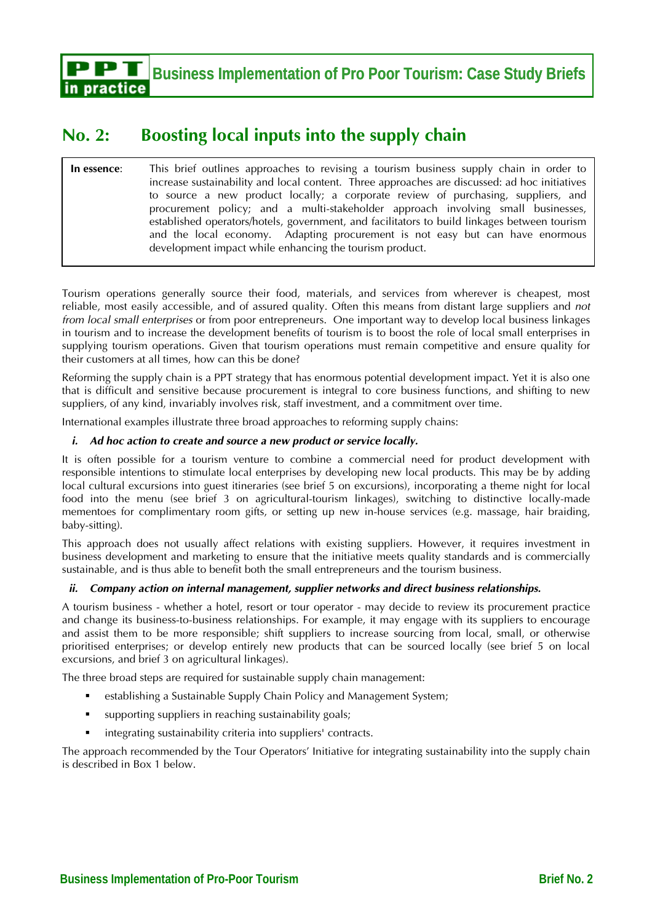in practice

# **No. 2: Boosting local inputs into the supply chain**

**In essence**: This brief outlines approaches to revising a tourism business supply chain in order to increase sustainability and local content. Three approaches are discussed: ad hoc initiatives to source a new product locally; a corporate review of purchasing, suppliers, and procurement policy; and a multi-stakeholder approach involving small businesses, established operators/hotels, government, and facilitators to build linkages between tourism and the local economy. Adapting procurement is not easy but can have enormous development impact while enhancing the tourism product.

Tourism operations generally source their food, materials, and services from wherever is cheapest, most reliable, most easily accessible, and of assured quality. Often this means from distant large suppliers and *not from local small enterprises* or from poor entrepreneurs. One important way to develop local business linkages in tourism and to increase the development benefits of tourism is to boost the role of local small enterprises in supplying tourism operations. Given that tourism operations must remain competitive and ensure quality for their customers at all times, how can this be done?

Reforming the supply chain is a PPT strategy that has enormous potential development impact. Yet it is also one that is difficult and sensitive because procurement is integral to core business functions, and shifting to new suppliers, of any kind, invariably involves risk, staff investment, and a commitment over time.

International examples illustrate three broad approaches to reforming supply chains:

# *i. Ad hoc action to create and source a new product or service locally.*

It is often possible for a tourism venture to combine a commercial need for product development with responsible intentions to stimulate local enterprises by developing new local products. This may be by adding local cultural excursions into guest itineraries (see brief 5 on excursions), incorporating a theme night for local food into the menu (see brief 3 on agricultural-tourism linkages), switching to distinctive locally-made mementoes for complimentary room gifts, or setting up new in-house services (e.g. massage, hair braiding, baby-sitting).

This approach does not usually affect relations with existing suppliers. However, it requires investment in business development and marketing to ensure that the initiative meets quality standards and is commercially sustainable, and is thus able to benefit both the small entrepreneurs and the tourism business.

## *ii. Company action on internal management, supplier networks and direct business relationships.*

A tourism business - whether a hotel, resort or tour operator - may decide to review its procurement practice and change its business-to-business relationships. For example, it may engage with its suppliers to encourage and assist them to be more responsible; shift suppliers to increase sourcing from local, small, or otherwise prioritised enterprises; or develop entirely new products that can be sourced locally (see brief 5 on local excursions, and brief 3 on agricultural linkages).

The three broad steps are required for sustainable supply chain management:

- establishing a Sustainable Supply Chain Policy and Management System;
- supporting suppliers in reaching sustainability goals;
- integrating sustainability criteria into suppliers' contracts.

The approach recommended by the Tour Operators' Initiative for integrating sustainability into the supply chain is described in Box 1 below.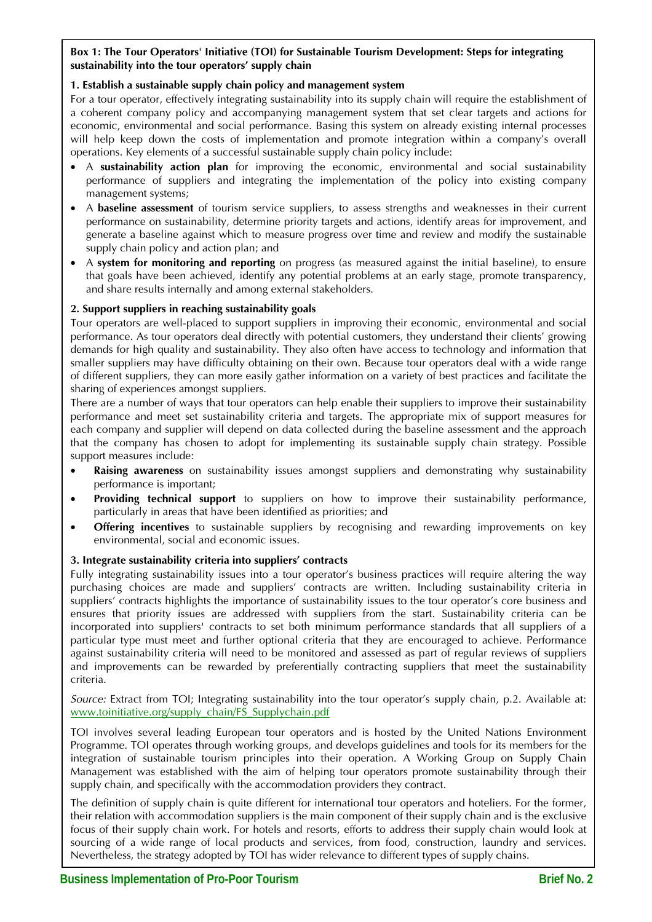# **Box 1: The Tour Operators' Initiative (TOI) for Sustainable Tourism Development: Steps for integrating sustainability into the tour operators' supply chain**

## **1. Establish a sustainable supply chain policy and management system**

For a tour operator, effectively integrating sustainability into its supply chain will require the establishment of a coherent company policy and accompanying management system that set clear targets and actions for economic, environmental and social performance. Basing this system on already existing internal processes will help keep down the costs of implementation and promote integration within a company's overall operations. Key elements of a successful sustainable supply chain policy include:

- A **sustainability action plan** for improving the economic, environmental and social sustainability performance of suppliers and integrating the implementation of the policy into existing company management systems;
- A **baseline assessment** of tourism service suppliers, to assess strengths and weaknesses in their current performance on sustainability, determine priority targets and actions, identify areas for improvement, and generate a baseline against which to measure progress over time and review and modify the sustainable supply chain policy and action plan; and
- A **system for monitoring and reporting** on progress (as measured against the initial baseline), to ensure that goals have been achieved, identify any potential problems at an early stage, promote transparency, and share results internally and among external stakeholders.

# **2. Support suppliers in reaching sustainability goals**

Tour operators are well-placed to support suppliers in improving their economic, environmental and social performance. As tour operators deal directly with potential customers, they understand their clients' growing demands for high quality and sustainability. They also often have access to technology and information that smaller suppliers may have difficulty obtaining on their own. Because tour operators deal with a wide range of different suppliers, they can more easily gather information on a variety of best practices and facilitate the sharing of experiences amongst suppliers.

There are a number of ways that tour operators can help enable their suppliers to improve their sustainability performance and meet set sustainability criteria and targets. The appropriate mix of support measures for each company and supplier will depend on data collected during the baseline assessment and the approach that the company has chosen to adopt for implementing its sustainable supply chain strategy. Possible support measures include:

- **Raising awareness** on sustainability issues amongst suppliers and demonstrating why sustainability performance is important;
- **Providing technical support** to suppliers on how to improve their sustainability performance, particularly in areas that have been identified as priorities; and
- **Offering incentives** to sustainable suppliers by recognising and rewarding improvements on key environmental, social and economic issues.

## **3. Integrate sustainability criteria into suppliers' contracts**

Fully integrating sustainability issues into a tour operator's business practices will require altering the way purchasing choices are made and suppliers' contracts are written. Including sustainability criteria in suppliers' contracts highlights the importance of sustainability issues to the tour operator's core business and ensures that priority issues are addressed with suppliers from the start. Sustainability criteria can be incorporated into suppliers' contracts to set both minimum performance standards that all suppliers of a particular type must meet and further optional criteria that they are encouraged to achieve. Performance against sustainability criteria will need to be monitored and assessed as part of regular reviews of suppliers and improvements can be rewarded by preferentially contracting suppliers that meet the sustainability criteria.

*Source:* Extract from TOI; Integrating sustainability into the tour operator's supply chain, p.2. Available at: www.toinitiative.org/supply\_chain/FS\_Supplychain.pdf

TOI involves several leading European tour operators and is hosted by the United Nations Environment Programme. TOI operates through working groups, and develops guidelines and tools for its members for the integration of sustainable tourism principles into their operation. A Working Group on Supply Chain Management was established with the aim of helping tour operators promote sustainability through their supply chain, and specifically with the accommodation providers they contract.

The definition of supply chain is quite different for international tour operators and hoteliers. For the former, their relation with accommodation suppliers is the main component of their supply chain and is the exclusive focus of their supply chain work. For hotels and resorts, efforts to address their supply chain would look at sourcing of a wide range of local products and services, from food, construction, laundry and services. Nevertheless, the strategy adopted by TOI has wider relevance to different types of supply chains.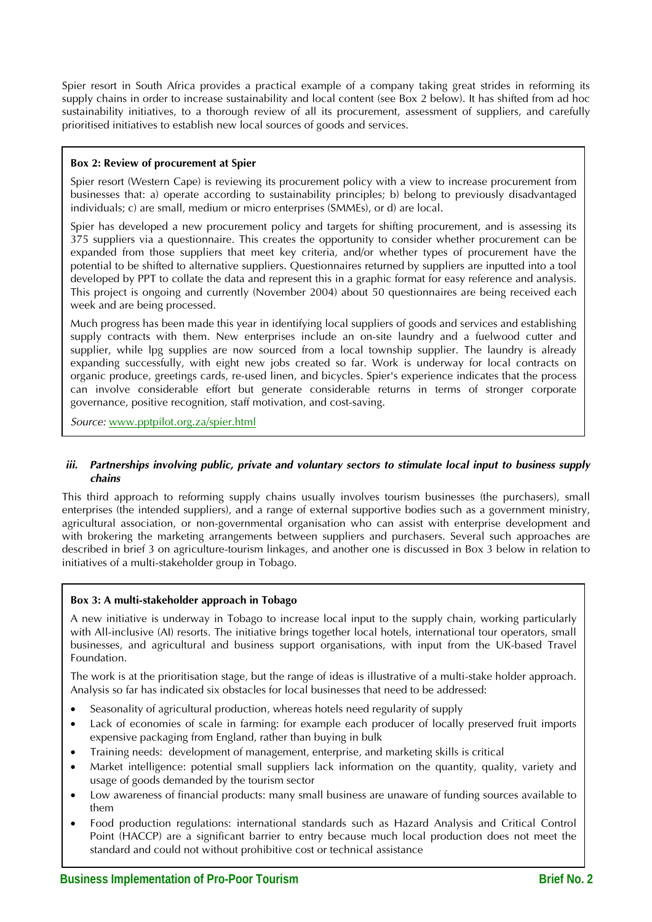Spier resort in South Africa provides a practical example of a company taking great strides in reforming its supply chains in order to increase sustainability and local content (see Box 2 below). It has shifted from ad hoc sustainability initiatives, to a thorough review of all its procurement, assessment of suppliers, and carefully prioritised initiatives to establish new local sources of goods and services.

## **Box 2: Review of procurement at Spier**

Spier resort (Western Cape) is reviewing its procurement policy with a view to increase procurement from businesses that: a) operate according to sustainability principles; b) belong to previously disadvantaged individuals; c) are small, medium or micro enterprises (SMMEs), or d) are local.

Spier has developed a new procurement policy and targets for shifting procurement, and is assessing its 375 suppliers via a questionnaire. This creates the opportunity to consider whether procurement can be expanded from those suppliers that meet key criteria, and/or whether types of procurement have the potential to be shifted to alternative suppliers. Questionnaires returned by suppliers are inputted into a tool developed by PPT to collate the data and represent this in a graphic format for easy reference and analysis. This project is ongoing and currently (November 2004) about 50 questionnaires are being received each week and are being processed.

Much progress has been made this year in identifying local suppliers of goods and services and establishing supply contracts with them. New enterprises include an on-site laundry and a fuelwood cutter and supplier, while lpg supplies are now sourced from a local township supplier. The laundry is already expanding successfully, with eight new jobs created so far. Work is underway for local contracts on organic produce, greetings cards, re-used linen, and bicycles. Spier's experience indicates that the process can involve considerable effort but generate considerable returns in terms of stronger corporate governance, positive recognition, staff motivation, and cost-saving.

*Source:* www.pptpilot.org.za/spier.html

#### *iii. Partnerships involving public, private and voluntary sectors to stimulate local input to business supply chains*

This third approach to reforming supply chains usually involves tourism businesses (the purchasers), small enterprises (the intended suppliers), and a range of external supportive bodies such as a government ministry, agricultural association, or non-governmental organisation who can assist with enterprise development and with brokering the marketing arrangements between suppliers and purchasers. Several such approaches are described in brief 3 on agriculture-tourism linkages, and another one is discussed in Box 3 below in relation to initiatives of a multi-stakeholder group in Tobago.

#### **Box 3: A multi-stakeholder approach in Tobago**

A new initiative is underway in Tobago to increase local input to the supply chain, working particularly with All-inclusive (AI) resorts. The initiative brings together local hotels, international tour operators, small businesses, and agricultural and business support organisations, with input from the UK-based Travel Foundation.

The work is at the prioritisation stage, but the range of ideas is illustrative of a multi-stake holder approach. Analysis so far has indicated six obstacles for local businesses that need to be addressed:

- Seasonality of agricultural production, whereas hotels need regularity of supply
- Lack of economies of scale in farming: for example each producer of locally preserved fruit imports expensive packaging from England, rather than buying in bulk
- Training needs: development of management, enterprise, and marketing skills is critical
- Market intelligence: potential small suppliers lack information on the quantity, quality, variety and usage of goods demanded by the tourism sector
- Low awareness of financial products: many small business are unaware of funding sources available to them
- Food production regulations: international standards such as Hazard Analysis and Critical Control Point (HACCP) are a significant barrier to entry because much local production does not meet the standard and could not without prohibitive cost or technical assistance